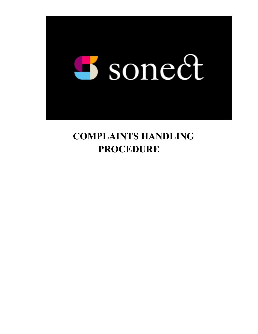

# **COMPLAINTS HANDLING PROCEDURE**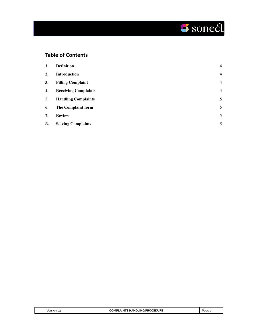# Sonect

# **Table of Contents**

| 1. | <b>Definition</b>           | $\overline{4}$ |
|----|-----------------------------|----------------|
| 2. | Introduction                | $\overline{4}$ |
| 3. | <b>Filling Complaint</b>    | $\overline{4}$ |
| 4. | <b>Receiving Complaints</b> | $\overline{4}$ |
| 5. | <b>Handling Complaints</b>  | 5              |
| 6. | The Complaint form          | 5              |
| 7. | <b>Review</b>               | 5              |
| 8. | <b>Solving Complaints</b>   | 5              |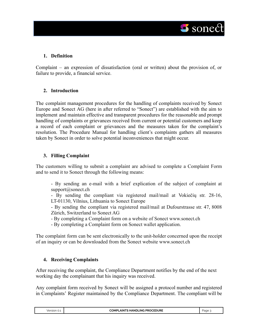

# <span id="page-2-0"></span>**1. Definition**

Complaint – an expression of dissatisfaction (oral or written) about the provision of, or failure to provide, a financial service.

# <span id="page-2-1"></span>**2. Introduction**

The complaint management procedures for the handling of complaints received by Sonect Europe and Sonect AG (here in after referred to "Sonect") are established with the aim to implement and maintain effective and transparent procedures for the reasonable and prompt handling of complaints or grievances received from current or potential customers and keep a record of each complaint or grievances and the measures taken for the complaint's resolution. The Procedure Manual for handling client's complaints gathers all measures taken by Sonect in order to solve potential inconveniences that might occur.

#### <span id="page-2-2"></span>**3. Filling Complaint**

The customers willing to submit a complaint are advised to complete a Complaint Form and to send it to Sonect through the following means:

- By sending an e-mail with a brief explication of the subject of complaint at [support@sonect.ch](mailto:support@sonect.ch)

- By sending the compliant via registered mail/mail at Vokiečių str. 28-16, LT-01130, Vilnius, Lithuania to Sonect Europe

- By sending the compliant via registered mail/mail at Dufourstrasse str. 47, 8008 Zürich, Switzerland to Sonect AG

- By completing a Complaint form on a website of Sonect [www.sonect.ch](http://www.sonect.ch)

- By completing a Complaint form on Sonect wallet application.

The complaint form can be sent electronically to the unit-holder concerned upon the receipt of an inquiry or can be downloaded from the Sonect website [www.sonect.ch](http://www.sonect.ch)

# <span id="page-2-3"></span>**4. Receiving Complaints**

After receiving the complaint, the Compliance Department notifies by the end of the next working day the complainant that his inquiry was received.

Any complaint form received by Sonect will be assigned a protocol number and registered in Complaints' Register maintained by the Compliance Department. The compliant will be

| Version 0.1 | <b>COMPLAINTS HANDLING PROCEDURE</b> | aae |
|-------------|--------------------------------------|-----|
|             |                                      |     |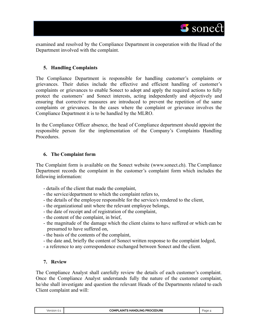sonect  $\blacksquare$ 

examined and resolved by the Compliance Department in cooperation with the Head of the Department involved with the complaint.

# <span id="page-3-0"></span>**5. Handling Complaints**

The Compliance Department is responsible for handling customer's complaints or grievances. Their duties include the effective and efficient handling of customer's complaints or grievances to enable Sonect to adopt and apply the required actions to fully protect the customers' and Sonect interests, acting independently and objectively and ensuring that corrective measures are introduced to prevent the repetition of the same complaints or grievances. In the cases where the complaint or grievance involves the Compliance Department it is to be handled by the MLRO.

In the Compliance Officer absence, the head of Compliance department should appoint the responsible person for the implementation of the Company's Complaints Handling **Procedures** 

# <span id="page-3-1"></span>**6. The Complaint form**

The Complaint form is available on the Sonect website (www.sonect.ch). The Compliance Department records the complaint in the customer's complaint form which includes the following information:

- details of the client that made the complaint,
- the service/department to which the complaint refers to,
- the details of the employee responsible for the service/s rendered to the client,
- the organizational unit where the relevant employee belongs,
- the date of receipt and of registration of the complaint,
- the content of the complaint, in brief,
- the magnitude of the damage which the client claims to have suffered or which can be presumed to have suffered on,
- the basis of the contents of the complaint,
- the date and, briefly the content of Sonect written response to the complaint lodged,
- a reference to any correspondence exchanged between Sonect and the client.

# <span id="page-3-2"></span>**7. Review**

The Compliance Analyst shall carefully review the details of each customer's complaint. Once the Compliance Analyst understands fully the nature of the customer complaint, he/she shall investigate and question the relevant Heads of the Departments related to each Client complaint and will:

| Version 0.1 |  |
|-------------|--|
|             |  |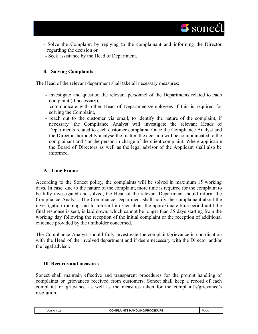- Solve the Complaint by replying to the complainant and informing the Director regarding the decision or
- Seek assistance by the Head of Department.

# <span id="page-4-0"></span>**8. Solving Complaints**

The Head of the relevant department shall take all necessary measures:

- investigate and question the relevant personnel of the Departments related to each complaint (if necessary),
- communicate with other Head of Departments/employees if this is required for solving the Complaint,
- reach out to the customer via email, to identify the nature of the complaint, if necessary, the Compliance Analyst will investigate the relevant Heads of Departments related to each customer complaint. Once the Compliance Analyst and the Director thoroughly analyse the matter, the decision will be communicated to the complainant and / or the person in charge of the client complaint. Where applicable the Board of Directors as well as the legal advisor of the Applicant shall also be informed.

# **9. Time Frame**

According to the Sonect policy, the complaints will be solved in maximum 15 working days. In case, due to the nature of the complaint, more time is required for the complaint to be fully investigated and solved, the Head of the relevant Department should inform the Compliance Analyst. The Compliance Department shall notify the complainant about the investigation running and to inform him /her about the approximate time period until the final response is sent, is laid down, which cannot be longer than 35 days starting from the working day following the reception of the initial complaint or the reception of additional evidence provided by the unitholder concerned.

The Compliance Analyst should fully investigate the complaint/grievance in coordination with the Head of the involved department and if deem necessary with the Director and/or the legal advisor.

# **10. Records and measures**

Sonect shall maintain effective and transparent procedures for the prompt handling of complaints or grievances received from customers. Sonect shall keep a record of each complaint or grievance as well as the measures taken for the complaint's/grievance's resolution.

| Version<br>$\sim$ | <b>LING PROCEDURE</b><br>≏OMPL<br>HANDI<br>AINTS | Page |
|-------------------|--------------------------------------------------|------|